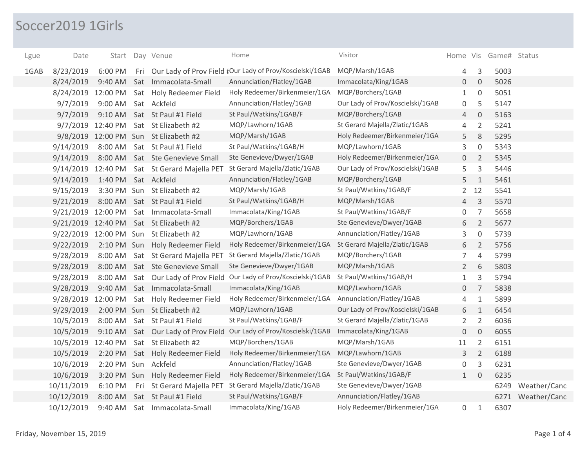## Soccer2019 1Girls

| Lgue | Date               |                     |     | Start Day Venue                        | Home                                                         | Visitor                          |                |                | Home Vis Game# Status |              |
|------|--------------------|---------------------|-----|----------------------------------------|--------------------------------------------------------------|----------------------------------|----------------|----------------|-----------------------|--------------|
| 1GAB | 8/23/2019          | 6:00 PM             |     |                                        | Fri Our Lady of Prov Field #Our Lady of Prov/Koscielski/1GAB | MQP/Marsh/1GAB                   | 4              | 3              | 5003                  |              |
|      | 8/24/2019          | 9:40 AM             |     | Sat Immacolata-Small                   | Annunciation/Flatley/1GAB                                    | Immacolata/King/1GAB             | 0              | $\mathbf 0$    | 5026                  |              |
|      | 8/24/2019          | 12:00 PM            |     | Sat Holy Redeemer Field                | Holy Redeemer/Birkenmeier/1GA                                | MQP/Borchers/1GAB                | $\mathbf{1}$   | $\mathbf 0$    | 5051                  |              |
|      | 9/7/2019           | 9:00 AM             |     | Sat Ackfeld                            | Annunciation/Flatley/1GAB                                    | Our Lady of Prov/Koscielski/1GAB | 0              | 5              | 5147                  |              |
|      | 9/7/2019           | 9:10 AM             |     | Sat St Paul #1 Field                   | St Paul/Watkins/1GAB/F                                       | MQP/Borchers/1GAB                | 4              | $\mathbf 0$    | 5163                  |              |
|      | 9/7/2019           | 12:40 PM            |     | Sat St Elizabeth #2                    | MQP/Lawhorn/1GAB                                             | St Gerard Majella/Zlatic/1GAB    | 4              | $\overline{2}$ | 5241                  |              |
|      |                    |                     |     | 9/8/2019 12:00 PM Sun St Elizabeth #2  | MQP/Marsh/1GAB                                               | Holy Redeemer/Birkenmeier/1GA    | 5              | 8              | 5295                  |              |
|      | 9/14/2019          | 8:00 AM             |     | Sat St Paul #1 Field                   | St Paul/Watkins/1GAB/H                                       | MQP/Lawhorn/1GAB                 | 3              | $\overline{0}$ | 5343                  |              |
|      | 9/14/2019          | 8:00 AM             |     | Sat Ste Genevieve Small                | Ste Genevieve/Dwyer/1GAB                                     | Holy Redeemer/Birkenmeier/1GA    | $\mathsf{O}$   | $\overline{2}$ | 5345                  |              |
|      | 9/14/2019          | 12:40 PM            |     | Sat St Gerard Majella PET              | St Gerard Majella/Zlatic/1GAB                                | Our Lady of Prov/Koscielski/1GAB | 5              | $\overline{3}$ | 5446                  |              |
|      | 9/14/2019          | 1:40 PM             |     | Sat Ackfeld                            | Annunciation/Flatley/1GAB                                    | MQP/Borchers/1GAB                | 5              | $\mathbf{1}$   | 5461                  |              |
|      | 9/15/2019          |                     |     | 3:30 PM Sun St Elizabeth #2            | MQP/Marsh/1GAB                                               | St Paul/Watkins/1GAB/F           | $\overline{2}$ | 12             | 5541                  |              |
|      | 9/21/2019          | 8:00 AM             |     | Sat St Paul #1 Field                   | St Paul/Watkins/1GAB/H                                       | MQP/Marsh/1GAB                   | 4              | $\overline{3}$ | 5570                  |              |
|      | 9/21/2019          | 12:00 PM            |     | Sat Immacolata-Small                   | Immacolata/King/1GAB                                         | St Paul/Watkins/1GAB/F           | 0              | $\overline{7}$ | 5658                  |              |
|      | 9/21/2019 12:40 PM |                     |     | Sat St Elizabeth #2                    | MQP/Borchers/1GAB                                            | Ste Genevieve/Dwyer/1GAB         | 6              | $\overline{2}$ | 5677                  |              |
|      |                    |                     |     | 9/22/2019 12:00 PM Sun St Elizabeth #2 | MQP/Lawhorn/1GAB                                             | Annunciation/Flatley/1GAB        | 3              | $\mathbf 0$    | 5739                  |              |
|      | 9/22/2019          |                     |     | 2:10 PM Sun Holy Redeemer Field        | Holy Redeemer/Birkenmeier/1GA                                | St Gerard Majella/Zlatic/1GAB    | 6              | $\overline{2}$ | 5756                  |              |
|      | 9/28/2019          | 8:00 AM             |     | Sat St Gerard Majella PET              | St Gerard Majella/Zlatic/1GAB                                | MQP/Borchers/1GAB                | 7              | $\overline{4}$ | 5799                  |              |
|      | 9/28/2019          | 8:00 AM             |     | Sat Ste Genevieve Small                | Ste Genevieve/Dwyer/1GAB                                     | MQP/Marsh/1GAB                   | $\overline{2}$ | 6              | 5803                  |              |
|      | 9/28/2019          | 8:00 AM             |     |                                        | Sat Our Lady of Prov Field Our Lady of Prov/Koscielski/1GAB  | St Paul/Watkins/1GAB/H           | $\mathbf{1}$   | 3              | 5794                  |              |
|      | 9/28/2019          | 9:40 AM             |     | Sat Immacolata-Small                   | Immacolata/King/1GAB                                         | MQP/Lawhorn/1GAB                 | 0              | $\overline{7}$ | 5838                  |              |
|      | 9/28/2019 12:00 PM |                     |     | Sat Holy Redeemer Field                | Holy Redeemer/Birkenmeier/1GA                                | Annunciation/Flatley/1GAB        | 4              | $\mathbf{1}$   | 5899                  |              |
|      | 9/29/2019          |                     |     | 2:00 PM Sun St Elizabeth #2            | MQP/Lawhorn/1GAB                                             | Our Lady of Prov/Koscielski/1GAB | 6              | $\mathbf{1}$   | 6454                  |              |
|      | 10/5/2019          | 8:00 AM             |     | Sat St Paul #1 Field                   | St Paul/Watkins/1GAB/F                                       | St Gerard Majella/Zlatic/1GAB    | $\overline{2}$ | $\overline{2}$ | 6036                  |              |
|      | 10/5/2019          | 9:10 AM             |     | Sat Our Lady of Prov Field             | Our Lady of Prov/Koscielski/1GAB                             | Immacolata/King/1GAB             | 0              | $\mathbf 0$    | 6055                  |              |
|      | 10/5/2019          | 12:40 PM            |     | Sat St Elizabeth #2                    | MQP/Borchers/1GAB                                            | MQP/Marsh/1GAB                   | 11             | $\overline{2}$ | 6151                  |              |
|      | 10/5/2019          | 2:20 PM             |     | Sat Holy Redeemer Field                | Holy Redeemer/Birkenmeier/1GA                                | MQP/Lawhorn/1GAB                 | 3              | $\overline{2}$ | 6188                  |              |
|      | 10/6/2019          | 2:20 PM Sun Ackfeld |     |                                        | Annunciation/Flatley/1GAB                                    | Ste Genevieve/Dwyer/1GAB         | 0              | $\mathsf 3$    | 6231                  |              |
|      | 10/6/2019          | 3:20 PM Sun         |     | Holy Redeemer Field                    | Holy Redeemer/Birkenmeier/1GA                                | St Paul/Watkins/1GAB/F           | $\mathbf{1}$   | $\overline{0}$ | 6235                  |              |
|      | 10/11/2019         | 6:10 PM             | Fri | St Gerard Majella PET                  | St Gerard Majella/Zlatic/1GAB                                | Ste Genevieve/Dwyer/1GAB         |                |                | 6249                  | Weather/Canc |
|      | 10/12/2019         | 8:00 AM             |     | Sat St Paul #1 Field                   | St Paul/Watkins/1GAB/F                                       | Annunciation/Flatley/1GAB        |                |                | 6271                  | Weather/Canc |
|      | 10/12/2019         | 9:40 AM             |     | Sat Immacolata-Small                   | Immacolata/King/1GAB                                         | Holy Redeemer/Birkenmeier/1GA    | 0              | 1              | 6307                  |              |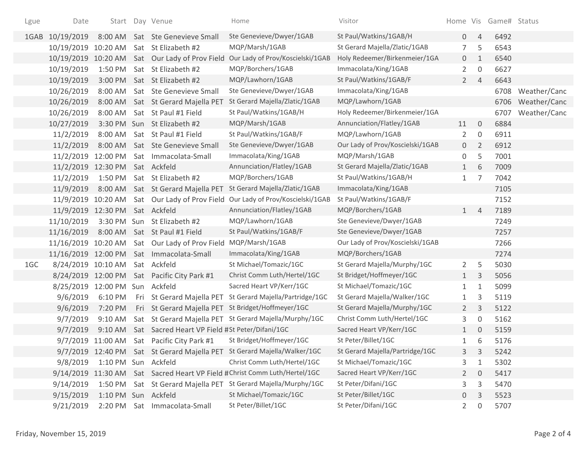| Lgue | Date                           |                     | Start Day Venue                                               | Home                                                                      | Visitor                          |                |                | Home Vis Game# Status |              |
|------|--------------------------------|---------------------|---------------------------------------------------------------|---------------------------------------------------------------------------|----------------------------------|----------------|----------------|-----------------------|--------------|
| 1GAB | 10/19/2019                     |                     | 8:00 AM Sat Ste Genevieve Small                               | Ste Genevieve/Dwyer/1GAB                                                  | St Paul/Watkins/1GAB/H           | $\overline{0}$ | $\overline{4}$ | 6492                  |              |
|      | 10/19/2019 10:20 AM            |                     | Sat St Elizabeth #2                                           | MQP/Marsh/1GAB                                                            | St Gerard Majella/Zlatic/1GAB    | $\overline{7}$ | 5              | 6543                  |              |
|      |                                |                     | 10/19/2019 10:20 AM Sat Our Lady of Prov Field                | Our Lady of Prov/Koscielski/1GAB                                          | Holy Redeemer/Birkenmeier/1GA    | 0              | 1              | 6540                  |              |
|      | 10/19/2019                     | 1:50 PM             | Sat St Elizabeth #2                                           | MQP/Borchers/1GAB                                                         | Immacolata/King/1GAB             | $\overline{2}$ | $\overline{0}$ | 6627                  |              |
|      | 10/19/2019                     |                     | 3:00 PM Sat St Elizabeth #2                                   | MQP/Lawhorn/1GAB                                                          | St Paul/Watkins/1GAB/F           | $2^{\circ}$    | $\overline{4}$ | 6643                  |              |
|      | 10/26/2019                     | 8:00 AM             | Sat Ste Genevieve Small                                       | Ste Genevieve/Dwyer/1GAB                                                  | Immacolata/King/1GAB             |                |                | 6708                  | Weather/Canc |
|      | 10/26/2019                     | 8:00 AM             | Sat St Gerard Majella PET                                     | St Gerard Majella/Zlatic/1GAB                                             | MQP/Lawhorn/1GAB                 |                |                | 6706                  | Weather/Canc |
|      | 10/26/2019                     | 8:00 AM             | Sat St Paul #1 Field                                          | St Paul/Watkins/1GAB/H                                                    | Holy Redeemer/Birkenmeier/1GA    |                |                | 6707                  | Weather/Canc |
|      | 10/27/2019                     |                     | 3:30 PM Sun St Elizabeth #2                                   | MQP/Marsh/1GAB                                                            | Annunciation/Flatley/1GAB        | 11             | $\overline{0}$ | 6884                  |              |
|      | 11/2/2019                      | 8:00 AM             | Sat St Paul #1 Field                                          | St Paul/Watkins/1GAB/F                                                    | MQP/Lawhorn/1GAB                 | 2              | $\overline{0}$ | 6911                  |              |
|      | 11/2/2019                      |                     | 8:00 AM Sat Ste Genevieve Small                               | Ste Genevieve/Dwyer/1GAB                                                  | Our Lady of Prov/Koscielski/1GAB | 0              | 2              | 6912                  |              |
|      | 11/2/2019 12:00 PM             |                     | Sat Immacolata-Small                                          | Immacolata/King/1GAB                                                      | MQP/Marsh/1GAB                   | 0              | 5              | 7001                  |              |
|      | 11/2/2019 12:30 PM Sat Ackfeld |                     |                                                               | Annunciation/Flatley/1GAB                                                 | St Gerard Majella/Zlatic/1GAB    | $\mathbf{1}$   | 6              | 7009                  |              |
|      | 11/2/2019                      |                     | 1:50 PM Sat St Elizabeth #2                                   | MQP/Borchers/1GAB                                                         | St Paul/Watkins/1GAB/H           | 1              | 7              | 7042                  |              |
|      | 11/9/2019                      |                     | 8:00 AM Sat St Gerard Majella PET                             | St Gerard Majella/Zlatic/1GAB                                             | Immacolata/King/1GAB             |                |                | 7105                  |              |
|      |                                |                     | 11/9/2019 10:20 AM Sat Our Lady of Prov Field                 | Our Lady of Prov/Koscielski/1GAB                                          | St Paul/Watkins/1GAB/F           |                |                | 7152                  |              |
|      | 11/9/2019 12:30 PM Sat Ackfeld |                     |                                                               | Annunciation/Flatley/1GAB                                                 | MQP/Borchers/1GAB                | 1              | $\overline{4}$ | 7189                  |              |
|      | 11/10/2019                     |                     | 3:30 PM Sun St Elizabeth #2                                   | MQP/Lawhorn/1GAB                                                          | Ste Genevieve/Dwyer/1GAB         |                |                | 7249                  |              |
|      | 11/16/2019                     |                     | 8:00 AM Sat St Paul #1 Field                                  | St Paul/Watkins/1GAB/F                                                    | Ste Genevieve/Dwyer/1GAB         |                |                | 7257                  |              |
|      |                                |                     | 11/16/2019 10:20 AM Sat Our Lady of Prov Field MQP/Marsh/1GAB |                                                                           | Our Lady of Prov/Koscielski/1GAB |                |                | 7266                  |              |
|      |                                |                     | 11/16/2019 12:00 PM Sat Immacolata-Small                      | Immacolata/King/1GAB                                                      | MQP/Borchers/1GAB                |                |                | 7274                  |              |
| 1GC  | 8/24/2019 10:10 AM             |                     | Sat Ackfeld                                                   | St Michael/Tomazic/1GC                                                    | St Gerard Majella/Murphy/1GC     | 2              | 5              | 5030                  |              |
|      |                                |                     | 8/24/2019 12:00 PM Sat Pacific City Park #1                   | Christ Comm Luth/Hertel/1GC                                               | St Bridget/Hoffmeyer/1GC         | $\mathbf{1}$   | 3              | 5056                  |              |
|      | 8/25/2019 12:00 PM Sun Ackfeld |                     |                                                               | Sacred Heart VP/Kerr/1GC                                                  | St Michael/Tomazic/1GC           | 1              | 1              | 5099                  |              |
|      | 9/6/2019                       | 6:10 PM             | Fri St Gerard Majella PET                                     | St Gerard Majella/Partridge/1GC                                           | St Gerard Majella/Walker/1GC     | 1              | 3              | 5119                  |              |
|      | 9/6/2019                       | 7:20 PM             |                                                               | Fri St Gerard Majella PET St Bridget/Hoffmeyer/1GC                        | St Gerard Majella/Murphy/1GC     | $\overline{2}$ | $\mathsf{3}$   | 5122                  |              |
|      | 9/7/2019                       | $9:10$ AM           | Sat St Gerard Majella PET                                     | St Gerard Majella/Murphy/1GC                                              | Christ Comm Luth/Hertel/1GC      | 3              | $\Omega$       | 5162                  |              |
|      | 9/7/2019                       | 9:10 AM             | Sat Sacred Heart VP Field #St Peter/Difani/1GC                |                                                                           | Sacred Heart VP/Kerr/1GC         | 1              | $\mathbf 0$    | 5159                  |              |
|      |                                |                     | 9/7/2019 11:00 AM Sat Pacific City Park #1                    | St Bridget/Hoffmeyer/1GC                                                  | St Peter/Billet/1GC              | 1              | 6              | 5176                  |              |
|      |                                |                     |                                                               | 9/7/2019 12:40 PM Sat St Gerard Majella PET St Gerard Majella/Walker/1GC  | St Gerard Majella/Partridge/1GC  | 3              | 3              | 5242                  |              |
|      | 9/8/2019                       | 1:10 PM Sun Ackfeld |                                                               | Christ Comm Luth/Hertel/1GC                                               | St Michael/Tomazic/1GC           | 3              | 1              | 5302                  |              |
|      |                                |                     |                                                               | 9/14/2019 11:30 AM Sat Sacred Heart VP Field #Christ Comm Luth/Hertel/1GC | Sacred Heart VP/Kerr/1GC         | $\mathbf{2}$   | 0              | 5417                  |              |
|      | 9/14/2019                      |                     |                                                               | 1:50 PM Sat St Gerard Majella PET St Gerard Majella/Murphy/1GC            | St Peter/Difani/1GC              | 3              | 3              | 5470                  |              |
|      | 9/15/2019                      | 1:10 PM Sun Ackfeld |                                                               | St Michael/Tomazic/1GC                                                    | St Peter/Billet/1GC              | 0              | 3              | 5523                  |              |
|      | 9/21/2019                      |                     | 2:20 PM Sat Immacolata-Small                                  | St Peter/Billet/1GC                                                       | St Peter/Difani/1GC              | $\overline{2}$ | 0              | 5707                  |              |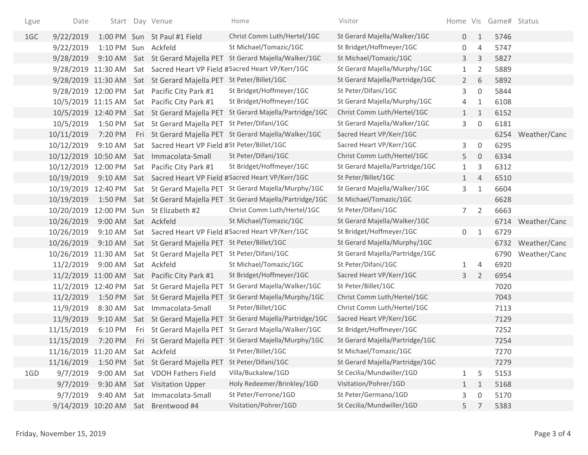| Lgue | Date                |                     |     | Start Day Venue                                                  | Home                                                                       | Visitor                         |                |                | Home Vis Game# Status |                   |
|------|---------------------|---------------------|-----|------------------------------------------------------------------|----------------------------------------------------------------------------|---------------------------------|----------------|----------------|-----------------------|-------------------|
| 1GC  | 9/22/2019           |                     |     | 1:00 PM Sun St Paul #1 Field                                     | Christ Comm Luth/Hertel/1GC                                                | St Gerard Majella/Walker/1GC    | $\overline{0}$ | $\mathbf{1}$   | 5746                  |                   |
|      | 9/22/2019           | 1:10 PM Sun Ackfeld |     |                                                                  | St Michael/Tomazic/1GC                                                     | St Bridget/Hoffmeyer/1GC        | 0              | 4              | 5747                  |                   |
|      | 9/28/2019           | $9:10$ AM           |     |                                                                  | Sat St Gerard Majella PET St Gerard Majella/Walker/1GC                     | St Michael/Tomazic/1GC          | 3              | 3              | 5827                  |                   |
|      | 9/28/2019 11:30 AM  |                     |     |                                                                  | Sat Sacred Heart VP Field #Sacred Heart VP/Kerr/1GC                        | St Gerard Majella/Murphy/1GC    | 1              | $\overline{2}$ | 5889                  |                   |
|      |                     |                     |     | 9/28/2019 11:30 AM Sat St Gerard Majella PET St Peter/Billet/1GC |                                                                            | St Gerard Majella/Partridge/1GC | $\overline{2}$ | 6              | 5892                  |                   |
|      |                     |                     |     | 9/28/2019 12:00 PM Sat Pacific City Park #1                      | St Bridget/Hoffmeyer/1GC                                                   | St Peter/Difani/1GC             | 3              | 0              | 5844                  |                   |
|      |                     |                     |     | 10/5/2019 11:15 AM Sat Pacific City Park #1                      | St Bridget/Hoffmeyer/1GC                                                   | St Gerard Majella/Murphy/1GC    | 4              | 1              | 6108                  |                   |
|      |                     |                     |     | 10/5/2019 12:40 PM Sat St Gerard Majella PET                     | St Gerard Majella/Partridge/1GC                                            | Christ Comm Luth/Hertel/1GC     | $\mathbf{1}$   | 1              | 6152                  |                   |
|      | 10/5/2019           | 1:50 PM             |     | Sat St Gerard Majella PET                                        | St Peter/Difani/1GC                                                        | St Gerard Majella/Walker/1GC    | 3              | 0              | 6181                  |                   |
|      | 10/11/2019          | 7:20 PM             |     |                                                                  | Fri St Gerard Majella PET St Gerard Majella/Walker/1GC                     | Sacred Heart VP/Kerr/1GC        |                |                |                       | 6254 Weather/Canc |
|      | 10/12/2019          | 9:10 AM             |     | Sat Sacred Heart VP Field #St Peter/Billet/1GC                   |                                                                            | Sacred Heart VP/Kerr/1GC        | 3              | 0              | 6295                  |                   |
|      | 10/12/2019 10:50 AM |                     |     | Sat Immacolata-Small                                             | St Peter/Difani/1GC                                                        | Christ Comm Luth/Hertel/1GC     | 5              | $\overline{0}$ | 6334                  |                   |
|      | 10/12/2019 12:00 PM |                     |     | Sat Pacific City Park #1                                         | St Bridget/Hoffmeyer/1GC                                                   | St Gerard Majella/Partridge/1GC | 1              | 3              | 6312                  |                   |
|      | 10/19/2019          |                     |     |                                                                  | 9:10 AM Sat Sacred Heart VP Field #Sacred Heart VP/Kerr/1GC                | St Peter/Billet/1GC             | $\mathbf{1}$   | $\overline{4}$ | 6510                  |                   |
|      |                     |                     |     |                                                                  | 10/19/2019 12:40 PM Sat St Gerard Majella PET St Gerard Majella/Murphy/1GC | St Gerard Majella/Walker/1GC    | 3              | 1              | 6604                  |                   |
|      | 10/19/2019          | 1:50 PM             |     |                                                                  | Sat St Gerard Majella PET St Gerard Majella/Partridge/1GC                  | St Michael/Tomazic/1GC          |                |                | 6628                  |                   |
|      |                     |                     |     | 10/20/2019 12:00 PM Sun St Elizabeth #2                          | Christ Comm Luth/Hertel/1GC                                                | St Peter/Difani/1GC             | 7 <sup>7</sup> | $\overline{2}$ | 6663                  |                   |
|      | 10/26/2019          | 9:00 AM             |     | Sat Ackfeld                                                      | St Michael/Tomazic/1GC                                                     | St Gerard Majella/Walker/1GC    |                |                |                       | 6714 Weather/Canc |
|      | 10/26/2019          | 9:10 AM             |     |                                                                  | Sat Sacred Heart VP Field #Sacred Heart VP/Kerr/1GC                        | St Bridget/Hoffmeyer/1GC        | 0              | $\mathbf{1}$   | 6729                  |                   |
|      | 10/26/2019          | $9:10$ AM           |     | Sat St Gerard Majella PET St Peter/Billet/1GC                    |                                                                            | St Gerard Majella/Murphy/1GC    |                |                |                       | 6732 Weather/Canc |
|      | 10/26/2019          | 11:30 AM            |     | Sat St Gerard Majella PET St Peter/Difani/1GC                    |                                                                            | St Gerard Majella/Partridge/1GC |                |                | 6790                  | Weather/Canc      |
|      | 11/2/2019           | 9:00 AM             |     | Sat Ackfeld                                                      | St Michael/Tomazic/1GC                                                     | St Peter/Difani/1GC             | 1              | 4              | 6920                  |                   |
|      | 11/2/2019           | 11:00 AM            |     | Sat Pacific City Park #1                                         | St Bridget/Hoffmeyer/1GC                                                   | Sacred Heart VP/Kerr/1GC        | 3              | $\overline{2}$ | 6954                  |                   |
|      | 11/2/2019 12:40 PM  |                     |     | Sat St Gerard Majella PET                                        | St Gerard Majella/Walker/1GC                                               | St Peter/Billet/1GC             |                |                | 7020                  |                   |
|      | 11/2/2019           | 1:50 PM             |     | Sat St Gerard Majella PET                                        | St Gerard Majella/Murphy/1GC                                               | Christ Comm Luth/Hertel/1GC     |                |                | 7043                  |                   |
|      | 11/9/2019           | 8:30 AM             |     | Sat Immacolata-Small                                             | St Peter/Billet/1GC                                                        | Christ Comm Luth/Hertel/1GC     |                |                | 7113                  |                   |
|      | 11/9/2019           | 9:10 AM             |     | Sat St Gerard Majella PET                                        | St Gerard Majella/Partridge/1GC                                            | Sacred Heart VP/Kerr/1GC        |                |                | 7129                  |                   |
|      | 11/15/2019          | 6:10 PM             |     |                                                                  | Fri St Gerard Majella PET St Gerard Majella/Walker/1GC                     | St Bridget/Hoffmeyer/1GC        |                |                | 7252                  |                   |
|      | 11/15/2019          | 7:20 PM             |     |                                                                  | Fri St Gerard Majella PET St Gerard Majella/Murphy/1GC                     | St Gerard Majella/Partridge/1GC |                |                | 7254                  |                   |
|      | 11/16/2019 11:20 AM |                     |     | Sat Ackfeld                                                      | St Peter/Billet/1GC                                                        | St Michael/Tomazic/1GC          |                |                | 7270                  |                   |
|      | 11/16/2019          | 1:50 PM             |     | Sat St Gerard Majella PET                                        | St Peter/Difani/1GC                                                        | St Gerard Majella/Partridge/1GC |                |                | 7279                  |                   |
| 1GD  | 9/7/2019            | 9:00 AM             |     | Sat VDOH Fathers Field                                           | Villa/Buckalew/1GD                                                         | St Cecilia/Mundwiller/1GD       | $\mathbf{1}$   | 5              | 5153                  |                   |
|      | 9/7/2019            | 9:30 AM             |     | Sat Visitation Upper                                             | Holy Redeemer/Brinkley/1GD                                                 | Visitation/Pohrer/1GD           | $\mathbf{1}$   | 1              | 5168                  |                   |
|      | 9/7/2019            | 9:40 AM             | Sat | Immacolata-Small                                                 | St Peter/Ferrone/1GD                                                       | St Peter/Germano/1GD            | 3              | 0              | 5170                  |                   |
|      |                     |                     |     | 9/14/2019 10:20 AM Sat Brentwood #4                              | Visitation/Pohrer/1GD                                                      | St Cecilia/Mundwiller/1GD       | 5              | 7              | 5383                  |                   |